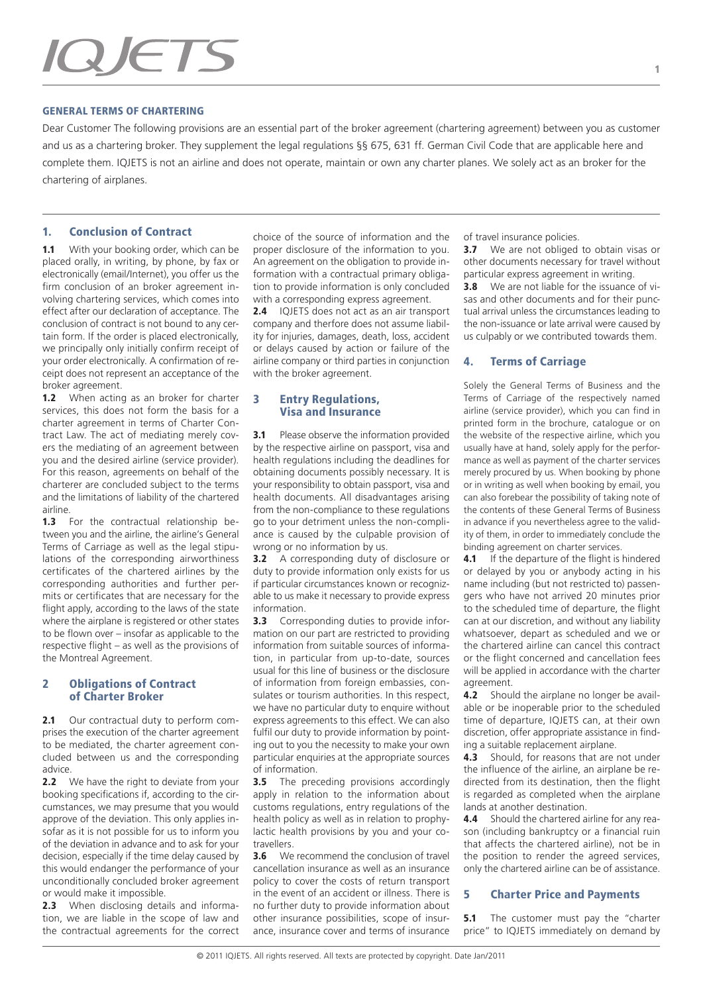# QJETS

#### GENERAL TERMS OF CHARTERING

Dear Customer The following provisions are an essential part of the broker agreement (chartering agreement) between you as customer and us as a chartering broker. They supplement the legal regulations §§ 675, 631 ff. German Civil Code that are applicable here and complete them. IQJETS is not an airline and does not operate, maintain or own any charter planes. We solely act as an broker for the chartering of airplanes.

## 1. Conclusion of Contract

1.1 With your booking order, which can be placed orally, in writing, by phone, by fax or electronically (email/Internet), you offer us the firm conclusion of an broker agreement involving chartering services, which comes into effect after our declaration of acceptance. The conclusion of contract is not bound to any certain form. If the order is placed electronically, we principally only initially confirm receipt of your order electronically. A confirmation of receipt does not represent an acceptance of the broker agreement.

1.2 When acting as an broker for charter services, this does not form the basis for a charter agreement in terms of Charter Contract Law. The act of mediating merely covers the mediating of an agreement between you and the desired airline (service provider). For this reason, agreements on behalf of the charterer are concluded subject to the terms and the limitations of liability of the chartered airline.

1.3 For the contractual relationship between you and the airline, the airline's General Terms of Carriage as well as the legal stipulations of the corresponding airworthiness certificates of the chartered airlines by the corresponding authorities and further permits or certificates that are necessary for the flight apply, according to the laws of the state where the airplane is registered or other states to be flown over – insofar as applicable to the respective flight – as well as the provisions of the Montreal Agreement.

#### 2 Obligations of Contract of Charter Broker

2.1 Our contractual duty to perform comprises the execution of the charter agreement to be mediated, the charter agreement concluded between us and the corresponding advice.

2.2 We have the right to deviate from your booking specifications if, according to the circumstances, we may presume that you would approve of the deviation. This only applies insofar as it is not possible for us to inform you of the deviation in advance and to ask for your decision, especially if the time delay caused by this would endanger the performance of your unconditionally concluded broker agreement or would make it impossible.

2.3 When disclosing details and information, we are liable in the scope of law and the contractual agreements for the correct choice of the source of information and the proper disclosure of the information to you. An agreement on the obligation to provide information with a contractual primary obligation to provide information is only concluded with a corresponding express agreement.

2.4 IQJETS does not act as an air transport company and therfore does not assume liability for injuries, damages, death, loss, accident or delays caused by action or failure of the airline company or third parties in conjunction with the broker agreement.

### 3 Entry Regulations, Visa and Insurance

**3.1** Please observe the information provided by the respective airline on passport, visa and health regulations including the deadlines for obtaining documents possibly necessary. It is your responsibility to obtain passport, visa and health documents. All disadvantages arising from the non-compliance to these regulations go to your detriment unless the non-compliance is caused by the culpable provision of wrong or no information by us.

**3.2** A corresponding duty of disclosure or duty to provide information only exists for us if particular circumstances known or recognizable to us make it necessary to provide express information.

**3.3** Corresponding duties to provide information on our part are restricted to providing information from suitable sources of information, in particular from up-to-date, sources usual for this line of business or the disclosure of information from foreign embassies, consulates or tourism authorities. In this respect, we have no particular duty to enquire without express agreements to this effect. We can also fulfil our duty to provide information by pointing out to you the necessity to make your own particular enquiries at the appropriate sources of information.

**3.5** The preceding provisions accordingly apply in relation to the information about customs regulations, entry regulations of the health policy as well as in relation to prophylactic health provisions by you and your cotravellers.

**3.6** We recommend the conclusion of travel cancellation insurance as well as an insurance policy to cover the costs of return transport in the event of an accident or illness. There is no further duty to provide information about other insurance possibilities, scope of insurance, insurance cover and terms of insurance

of travel insurance policies.

**3.7** We are not obliged to obtain visas or other documents necessary for travel without particular express agreement in writing.

**3.8** We are not liable for the issuance of visas and other documents and for their punctual arrival unless the circumstances leading to the non-issuance or late arrival were caused by us culpably or we contributed towards them.

## 4. Terms of Carriage

Solely the General Terms of Business and the Terms of Carriage of the respectively named airline (service provider), which you can find in printed form in the brochure, catalogue or on the website of the respective airline, which you usually have at hand, solely apply for the performance as well as payment of the charter services merely procured by us. When booking by phone or in writing as well when booking by email, you can also forebear the possibility of taking note of the contents of these General Terms of Business in advance if you nevertheless agree to the validity of them, in order to immediately conclude the binding agreement on charter services.

4.1 If the departure of the flight is hindered or delayed by you or anybody acting in his name including (but not restricted to) passengers who have not arrived 20 minutes prior to the scheduled time of departure, the flight can at our discretion, and without any liability whatsoever, depart as scheduled and we or the chartered airline can cancel this contract or the flight concerned and cancellation fees will be applied in accordance with the charter agreement.

4.2 Should the airplane no longer be available or be inoperable prior to the scheduled time of departure, IQJETS can, at their own discretion, offer appropriate assistance in finding a suitable replacement airplane.

4.3 Should, for reasons that are not under the influence of the airline, an airplane be redirected from its destination, then the flight is regarded as completed when the airplane lands at another destination.

**4.4** Should the chartered airline for any reason (including bankruptcy or a financial ruin that affects the chartered airline), not be in the position to render the agreed services, only the chartered airline can be of assistance.

#### 5 Charter Price and Payments

**5.1** The customer must pay the "charter price" to IQJETS immediately on demand by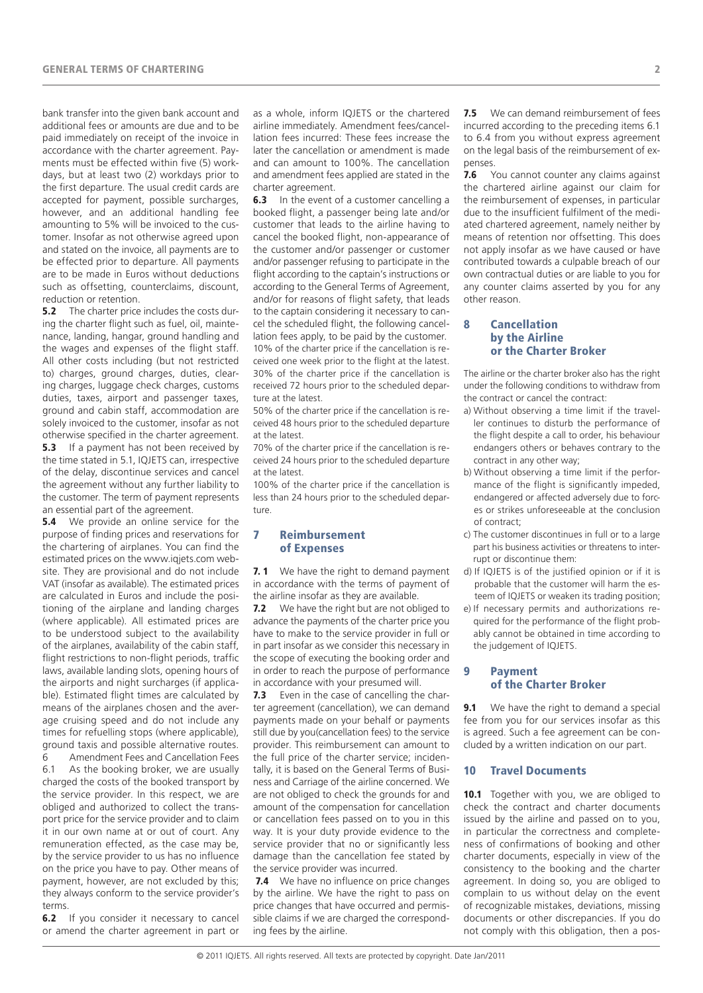bank transfer into the given bank account and additional fees or amounts are due and to be paid immediately on receipt of the invoice in accordance with the charter agreement. Payments must be effected within five (5) workdays, but at least two (2) workdays prior to the first departure. The usual credit cards are accepted for payment, possible surcharges, however, and an additional handling fee amounting to 5% will be invoiced to the customer. Insofar as not otherwise agreed upon and stated on the invoice, all payments are to be effected prior to departure. All payments are to be made in Euros without deductions such as offsetting, counterclaims, discount, reduction or retention.

**5.2** The charter price includes the costs during the charter flight such as fuel, oil, maintenance, landing, hangar, ground handling and the wages and expenses of the flight staff. All other costs including (but not restricted to) charges, ground charges, duties, clearing charges, luggage check charges, customs duties, taxes, airport and passenger taxes, ground and cabin staff, accommodation are solely invoiced to the customer, insofar as not otherwise specified in the charter agreement. 5.3 If a payment has not been received by

the time stated in 5.1, IQJETS can, irrespective of the delay, discontinue services and cancel the agreement without any further liability to the customer. The term of payment represents an essential part of the agreement.

**5.4** We provide an online service for the purpose of finding prices and reservations for the chartering of airplanes. You can find the estimated prices on the www.iqjets.com website. They are provisional and do not include VAT (insofar as available). The estimated prices are calculated in Euros and include the positioning of the airplane and landing charges (where applicable). All estimated prices are to be understood subject to the availability of the airplanes, availability of the cabin staff, flight restrictions to non-flight periods, traffic laws, available landing slots, opening hours of the airports and night surcharges (if applicable). Estimated flight times are calculated by means of the airplanes chosen and the average cruising speed and do not include any times for refuelling stops (where applicable) ground taxis and possible alternative routes.

6 Amendment Fees and Cancellation Fees 6.1 As the booking broker, we are usually charged the costs of the booked transport by the service provider. In this respect, we are obliged and authorized to collect the transport price for the service provider and to claim it in our own name at or out of court. Any remuneration effected, as the case may be, by the service provider to us has no influence on the price you have to pay. Other means of payment, however, are not excluded by this; they always conform to the service provider's terms.

**6.2** If you consider it necessary to cancel or amend the charter agreement in part or as a whole, inform IQJETS or the chartered airline immediately. Amendment fees/cancellation fees incurred: These fees increase the later the cancellation or amendment is made and can amount to 100%. The cancellation and amendment fees applied are stated in the charter agreement.<br>**6.3** In the event  $\alpha$ 

In the event of a customer cancelling a booked flight, a passenger being late and/or customer that leads to the airline having to cancel the booked flight, non-appearance of the customer and/or passenger or customer and/or passenger refusing to participate in the flight according to the captain's instructions or according to the General Terms of Agreement, and/or for reasons of flight safety, that leads to the captain considering it necessary to cancel the scheduled flight, the following cancellation fees apply, to be paid by the customer. 10% of the charter price if the cancellation is received one week prior to the flight at the latest. 30% of the charter price if the cancellation is received 72 hours prior to the scheduled departure at the latest.

50% of the charter price if the cancellation is received 48 hours prior to the scheduled departure at the latest.

70% of the charter price if the cancellation is received 24 hours prior to the scheduled departure at the latest.

100% of the charter price if the cancellation is less than 24 hours prior to the scheduled departure.

# 7 Reimbursement of Expenses

**7.1** We have the right to demand payment in accordance with the terms of payment of the airline insofar as they are available.

**7.2** We have the right but are not obliged to advance the payments of the charter price you have to make to the service provider in full or in part insofar as we consider this necessary in the scope of executing the booking order and in order to reach the purpose of performance in accordance with your presumed will.

**7.3** Even in the case of cancelling the charter agreement (cancellation), we can demand payments made on your behalf or payments still due by you(cancellation fees) to the service provider. This reimbursement can amount to the full price of the charter service; incidentally, it is based on the General Terms of Business and Carriage of the airline concerned. We are not obliged to check the grounds for and amount of the compensation for cancellation or cancellation fees passed on to you in this way. It is your duty provide evidence to the service provider that no or significantly less damage than the cancellation fee stated by the service provider was incurred.

**7.4** We have no influence on price changes by the airline. We have the right to pass on price changes that have occurred and permissible claims if we are charged the corresponding fees by the airline.

**7.5** We can demand reimbursement of fees incurred according to the preceding items 6.1 to 6.4 from you without express agreement on the legal basis of the reimbursement of expenses.

**7.6** You cannot counter any claims against the chartered airline against our claim for the reimbursement of expenses, in particular due to the insufficient fulfilment of the mediated chartered agreement, namely neither by means of retention nor offsetting. This does not apply insofar as we have caused or have contributed towards a culpable breach of our own contractual duties or are liable to you for any counter claims asserted by you for any other reason.

#### 8 Cancellation by the Airline or the Charter Broker

The airline or the charter broker also has the right under the following conditions to withdraw from the contract or cancel the contract:

- a) Without observing a time limit if the traveller continues to disturb the performance of the flight despite a call to order, his behaviour endangers others or behaves contrary to the contract in any other way;
- b) Without observing a time limit if the performance of the flight is significantly impeded, endangered or affected adversely due to forces or strikes unforeseeable at the conclusion of contract;
- c) The customer discontinues in full or to a large part his business activities or threatens to interrupt or discontinue them:
- d) If IQJETS is of the justified opinion or if it is probable that the customer will harm the esteem of IQJETS or weaken its trading position;
- e) If necessary permits and authorizations required for the performance of the flight probably cannot be obtained in time according to the judgement of IQJETS.

## 9 Payment of the Charter Broker

**9.1** We have the right to demand a special fee from you for our services insofar as this is agreed. Such a fee agreement can be concluded by a written indication on our part.

#### 10 Travel Documents

10.1 Together with you, we are obliged to check the contract and charter documents issued by the airline and passed on to you, in particular the correctness and completeness of confirmations of booking and other charter documents, especially in view of the consistency to the booking and the charter agreement. In doing so, you are obliged to complain to us without delay on the event of recognizable mistakes, deviations, missing documents or other discrepancies. If you do not comply with this obligation, then a pos